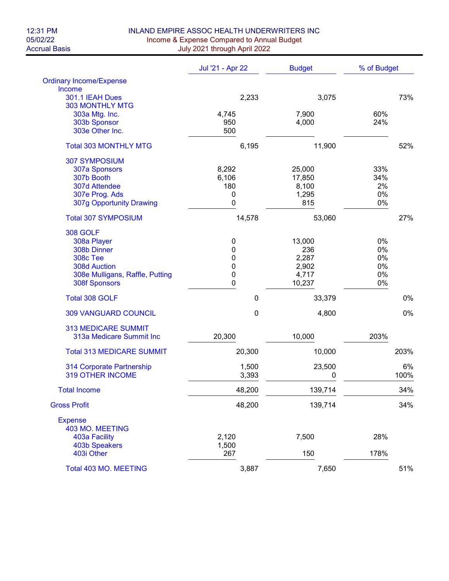## 12:31 PM INLAND EMPIRE ASSOC HEALTH UNDERWRITERS INC<br>05/02/22 Income & Expense Compared to Annual Budget 05/02/22<br>Accrual Basis **Income & Expense Compared to Annual Budget**<br>July 2021 through April 2022 July 2021 through April 2022

|                                  | Jul '21 - Apr 22<br><b>Budget</b> |                | % of Budget |  |
|----------------------------------|-----------------------------------|----------------|-------------|--|
| <b>Ordinary Income/Expense</b>   |                                   |                |             |  |
| Income                           |                                   |                |             |  |
| 301.1 IEAH Dues                  | 2,233                             | 3,075          | 73%         |  |
| <b>303 MONTHLY MTG</b>           |                                   |                | 60%         |  |
| 303a Mtg. Inc.<br>303b Sponsor   | 4,745<br>950                      | 7,900<br>4,000 | 24%         |  |
| 303e Other Inc.                  | 500                               |                |             |  |
|                                  |                                   |                |             |  |
| <b>Total 303 MONTHLY MTG</b>     | 6,195                             | 11,900         | 52%         |  |
| <b>307 SYMPOSIUM</b>             |                                   |                |             |  |
| 307a Sponsors                    | 8,292                             | 25,000         |             |  |
| 307b Booth                       | 6,106                             | 17,850         | 34%         |  |
| 307d Attendee                    | 180                               | 8,100          | 2%          |  |
| 307e Prog. Ads                   | 0                                 | 1,295          | 0%          |  |
| 307g Opportunity Drawing         | 0                                 | 815            | 0%          |  |
| <b>Total 307 SYMPOSIUM</b>       | 14,578                            | 53,060         | 27%         |  |
| <b>308 GOLF</b>                  |                                   |                |             |  |
| 308a Player                      | 0                                 | 13,000         | 0%          |  |
| 308b Dinner                      | 0                                 | 236            | 0%          |  |
| <b>308c Tee</b>                  | 0                                 | 2,287          | 0%          |  |
| <b>308d Auction</b>              | 0                                 | 2,902          | 0%          |  |
| 308e Mulligans, Raffle, Putting  | 0                                 | 4,717          | 0%          |  |
| <b>308f Sponsors</b>             | 0                                 | 10,237         | 0%          |  |
| <b>Total 308 GOLF</b>            | $\mathbf 0$                       | 33,379         | 0%          |  |
| <b>309 VANGUARD COUNCIL</b>      | 0                                 | 4,800          | 0%          |  |
|                                  |                                   |                |             |  |
| <b>313 MEDICARE SUMMIT</b>       |                                   |                |             |  |
| 313a Medicare Summit Inc         | 20,300                            | 10,000         | 203%        |  |
| <b>Total 313 MEDICARE SUMMIT</b> | 20,300                            | 10,000         | 203%        |  |
| 314 Corporate Partnership        | 1,500                             | 23,500         | 6%          |  |
| <b>319 OTHER INCOME</b>          | 3,393                             | 0              | 100%        |  |
| <b>Total Income</b>              | 48,200                            | 139,714        | 34%         |  |
| <b>Gross Profit</b>              | 48,200                            | 139,714        | 34%         |  |
| <b>Expense</b>                   |                                   |                |             |  |
| 403 MO. MEETING                  |                                   |                |             |  |
| 403a Facility                    | 2,120                             | 7,500          | 28%         |  |
| <b>403b Speakers</b>             | 1,500                             |                |             |  |
| 403i Other                       | 267                               | 150            | 178%        |  |
| Total 403 MO. MEETING            | 3,887                             | 7,650          | 51%         |  |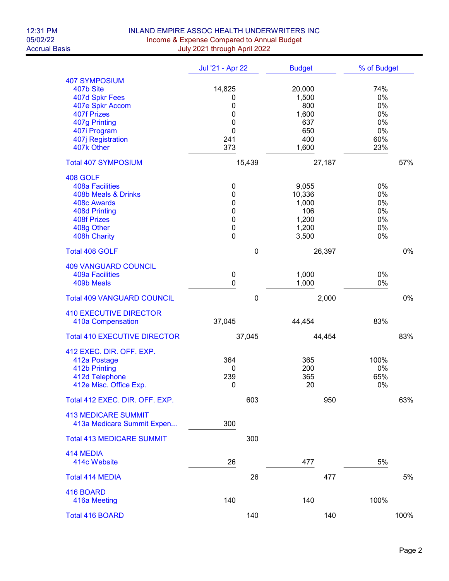## 12:31 PM INLAND EMPIRE ASSOC HEALTH UNDERWRITERS INC<br>05/02/22 Income & Expense Compared to Annual Budget 05/02/22 Income & Expense Compared to Annual Budget Accrual Basis July 2021 through April 2022

|                                                                                                                                                                  | Jul '21 - Apr 22                              | <b>Budget</b>                                                 | % of Budget                                     |
|------------------------------------------------------------------------------------------------------------------------------------------------------------------|-----------------------------------------------|---------------------------------------------------------------|-------------------------------------------------|
| <b>407 SYMPOSIUM</b><br>407b Site<br>407d Spkr Fees<br>407e Spkr Accom<br><b>407f Prizes</b><br>407g Printing<br>407i Program<br>407j Registration<br>407k Other | 14,825<br>0<br>0<br>0<br>0<br>0<br>241<br>373 | 20,000<br>1,500<br>800<br>1,600<br>637<br>650<br>400<br>1,600 | 74%<br>0%<br>0%<br>0%<br>0%<br>0%<br>60%<br>23% |
| <b>Total 407 SYMPOSIUM</b>                                                                                                                                       | 15,439                                        | 27,187                                                        | 57%                                             |
| 408 GOLF<br><b>408a Facilities</b><br>408b Meals & Drinks<br>408c Awards<br>408d Printing<br><b>408f Prizes</b><br>408g Other<br>408h Charity                    | 0<br>0<br>0<br>0<br>0<br>0<br>0               | 9,055<br>10,336<br>1,000<br>106<br>1,200<br>1,200<br>3,500    | 0%<br>0%<br>0%<br>0%<br>0%<br>0%<br>0%          |
| <b>Total 408 GOLF</b>                                                                                                                                            | $\mathbf 0$                                   | 26,397                                                        | 0%                                              |
| <b>409 VANGUARD COUNCIL</b><br><b>409a Facilities</b><br>409b Meals                                                                                              | $\mathbf 0$<br>0                              | 1,000<br>1,000                                                | 0%<br>0%                                        |
| <b>Total 409 VANGUARD COUNCIL</b>                                                                                                                                | $\mathbf 0$                                   | 2,000                                                         | 0%                                              |
| <b>410 EXECUTIVE DIRECTOR</b><br>410a Compensation                                                                                                               | 37,045                                        | 44,454                                                        | 83%                                             |
| <b>Total 410 EXECUTIVE DIRECTOR</b>                                                                                                                              | 37,045                                        | 44,454                                                        | 83%                                             |
| 412 EXEC. DIR. OFF. EXP.<br>412a Postage<br>412b Printing<br>412d Telephone<br>412e Misc. Office Exp.                                                            | 364<br>0<br>239<br>0                          | 365<br>200<br>365<br>20                                       | 100%<br>0%<br>65%<br>$0\%$                      |
| Total 412 EXEC. DIR. OFF. EXP.                                                                                                                                   | 603                                           | 950                                                           | 63%                                             |
| <b>413 MEDICARE SUMMIT</b><br>413a Medicare Summit Expen                                                                                                         | 300                                           |                                                               |                                                 |
| <b>Total 413 MEDICARE SUMMIT</b>                                                                                                                                 | 300                                           |                                                               |                                                 |
| 414 MEDIA<br>414c Website                                                                                                                                        | 26                                            | 477                                                           | 5%                                              |
| <b>Total 414 MEDIA</b>                                                                                                                                           | 26                                            | 477                                                           | 5%                                              |
| 416 BOARD<br>416a Meeting                                                                                                                                        | 140                                           | 140                                                           | 100%                                            |
| <b>Total 416 BOARD</b>                                                                                                                                           | 140                                           | 140                                                           | 100%                                            |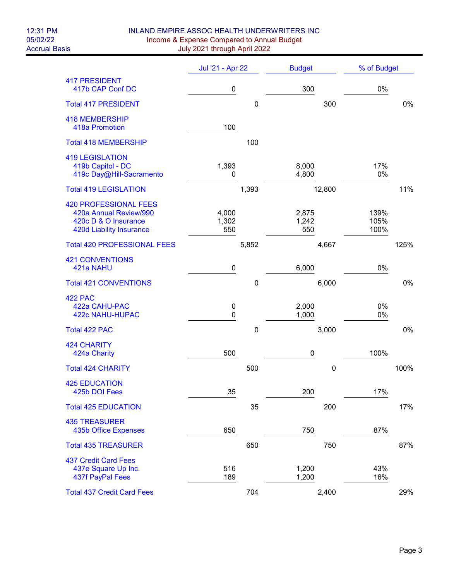## 12:31 PM INLAND EMPIRE ASSOC HEALTH UNDERWRITERS INC<br>05/02/22 Income & Expense Compared to Annual Budget 05/02/22 Income & Expense Compared to Annual Budget Accrual Basis July 2021 through April 2022

|                                                                                                            | Jul '21 - Apr 22      |             | <b>Budget</b>         |             | % of Budget          |      |
|------------------------------------------------------------------------------------------------------------|-----------------------|-------------|-----------------------|-------------|----------------------|------|
| <b>417 PRESIDENT</b><br>417b CAP Conf DC                                                                   | 0                     |             | 300                   |             | 0%                   |      |
| <b>Total 417 PRESIDENT</b>                                                                                 |                       | $\mathbf 0$ |                       | 300         |                      | 0%   |
| <b>418 MEMBERSHIP</b><br>418a Promotion                                                                    | 100                   |             |                       |             |                      |      |
| <b>Total 418 MEMBERSHIP</b>                                                                                |                       | 100         |                       |             |                      |      |
| <b>419 LEGISLATION</b><br>419b Capitol - DC<br>419c Day@Hill-Sacramento                                    | 1,393<br>0            |             | 8,000<br>4,800        |             | 17%<br>0%            |      |
| <b>Total 419 LEGISLATION</b>                                                                               |                       | 1,393       |                       | 12,800      |                      | 11%  |
| <b>420 PROFESSIONAL FEES</b><br>420a Annual Review/990<br>420c D & O Insurance<br>420d Liability Insurance | 4,000<br>1,302<br>550 |             | 2,875<br>1,242<br>550 |             | 139%<br>105%<br>100% |      |
| <b>Total 420 PROFESSIONAL FEES</b>                                                                         |                       | 5,852       |                       | 4,667       |                      | 125% |
| <b>421 CONVENTIONS</b><br>421a NAHU                                                                        | 0                     |             | 6,000                 |             | 0%                   |      |
| <b>Total 421 CONVENTIONS</b>                                                                               |                       | $\mathbf 0$ |                       | 6,000       |                      | 0%   |
| <b>422 PAC</b><br>422a CAHU-PAC<br>422c NAHU-HUPAC                                                         | 0<br>0                |             | 2,000<br>1,000        |             | 0%<br>0%             |      |
| Total 422 PAC                                                                                              |                       | $\pmb{0}$   |                       | 3,000       |                      | 0%   |
| <b>424 CHARITY</b><br>424a Charity                                                                         | 500                   |             | $\pmb{0}$             |             | 100%                 |      |
| <b>Total 424 CHARITY</b>                                                                                   |                       | 500         |                       | $\mathbf 0$ |                      | 100% |
| <b>425 EDUCATION</b><br>425b DOI Fees                                                                      | 35                    |             | 200                   |             | 17%                  |      |
| <b>Total 425 EDUCATION</b>                                                                                 |                       | 35          |                       | 200         |                      | 17%  |
| <b>435 TREASURER</b><br><b>435b Office Expenses</b>                                                        | 650                   |             | 750                   |             | 87%                  |      |
| <b>Total 435 TREASURER</b>                                                                                 |                       | 650         |                       | 750         |                      | 87%  |
| <b>437 Credit Card Fees</b><br>437e Square Up Inc.<br>437f PayPal Fees                                     | 516<br>189            |             | 1,200<br>1,200        |             | 43%<br>16%           |      |
| <b>Total 437 Credit Card Fees</b>                                                                          |                       | 704         |                       | 2,400       |                      | 29%  |